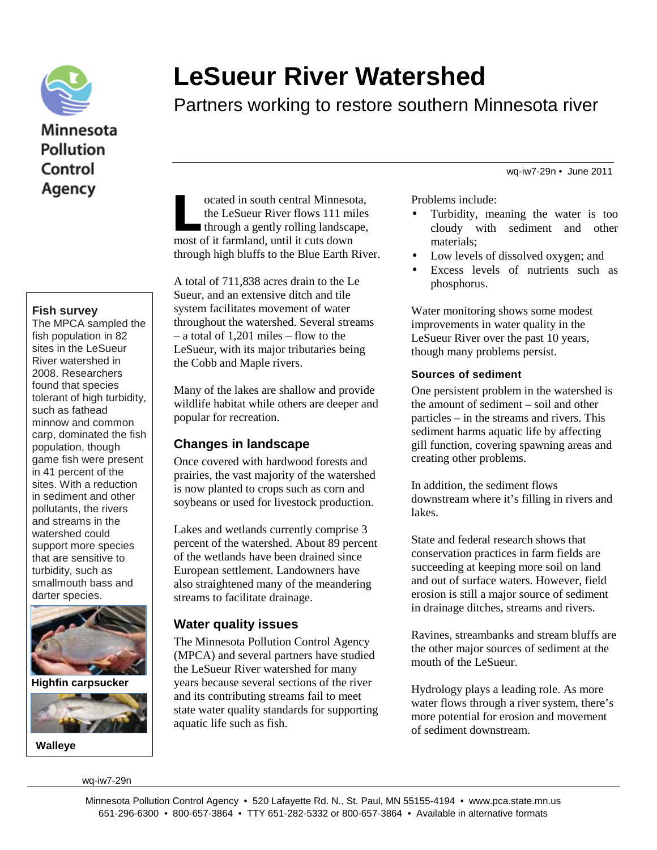

# **Minnesota Pollution** Control Agency

#### **Fish survey**

The MPCA sampled the fish population in 82 sites in the LeSueur River watershed in 2008. Researchers found that species tolerant of high turbidity, such as fathead minnow and common carp, dominated the fish population, though game fish were present in 41 percent of the sites. With a reduction in sediment and other pollutants, the rivers and streams in the watershed could support more species that are sensitive to turbidity, such as smallmouth bass and darter species.



**Highfin carpsucker**



**Walleye**

wq-iw7-29n

# **LeSueur River Watershed**

Partners working to restore southern Minnesota river

wq-iw7-29n • June 2011

ocated in south central Minnesota, the LeSueur River flows 111 miles through a gently rolling landscape, ocated in south central Minnesc<br>the LeSueur River flows 111 m<br>through a gently rolling landsca<br>most of it farmland, until it cuts down through high bluffs to the Blue Earth River.

A total of 711,838 acres drain to the Le Sueur, and an extensive ditch and tile system facilitates movement of water throughout the watershed. Several streams – a total of 1,201 miles – flow to the LeSueur, with its major tributaries being the Cobb and Maple rivers.

Many of the lakes are shallow and provide wildlife habitat while others are deeper and popular for recreation.

### **Changes in landscape**

Once covered with hardwood forests and prairies, the vast majority of the watershed is now planted to crops such as corn and soybeans or used for livestock production.

Lakes and wetlands currently comprise 3 percent of the watershed. About 89 percent of the wetlands have been drained since European settlement. Landowners have also straightened many of the meandering streams to facilitate drainage.

# **Water quality issues**

The Minnesota Pollution Control Agency (MPCA) and several partners have studied the LeSueur River watershed for many years because several sections of the river and its contributing streams fail to meet state water quality standards for supporting aquatic life such as fish.

Problems include:

- Turbidity, meaning the water is too cloudy with sediment and other materials;
- Low levels of dissolved oxygen; and
- Excess levels of nutrients such as phosphorus.

Water monitoring shows some modest improvements in water quality in the LeSueur River over the past 10 years, though many problems persist.

#### **Sources of sediment**

One persistent problem in the watershed is the amount of sediment – soil and other particles – in the streams and rivers. This sediment harms aquatic life by affecting gill function, covering spawning areas and creating other problems.

In addition, the sediment flows downstream where it's filling in rivers and lakes.

State and federal research shows that conservation practices in farm fields are succeeding at keeping more soil on land and out of surface waters. However, field erosion is still a major source of sediment in drainage ditches, streams and rivers.

Ravines, streambanks and stream bluffs are the other major sources of sediment at the mouth of the LeSueur.

Hydrology plays a leading role. As more water flows through a river system, there's more potential for erosion and movement of sediment downstream.